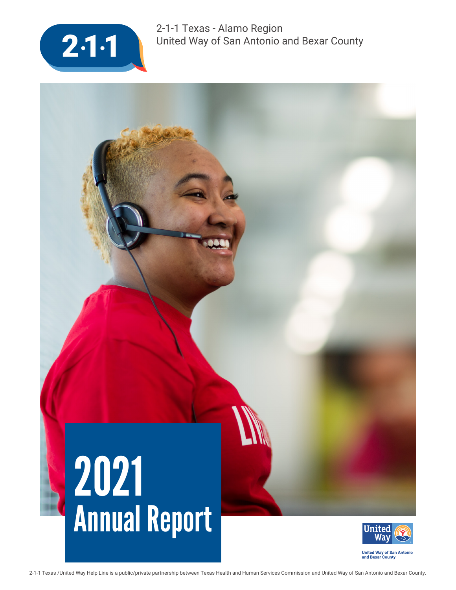

2-1-1 Texas - Alamo Region United Way of San Antonio and Bexar County

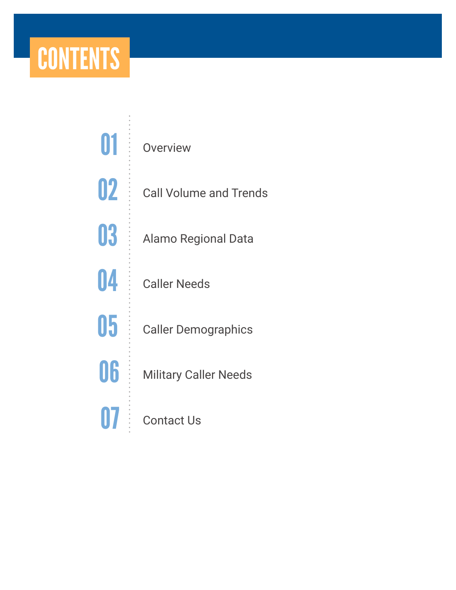### **CONTENTS**

**Overview** Call Volume and Trends Alamo Regional Data Caller Needs Caller Demographics Military Caller Needs Contact Us 01 02 03 04 05 06 07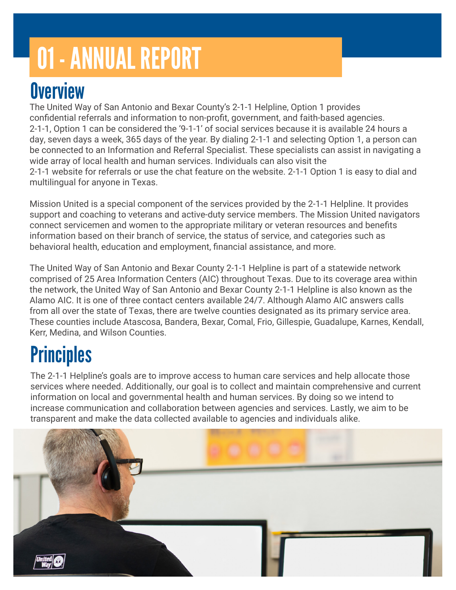# 01 - ANNUAL REPORT

#### **Overview**

The United Way of San Antonio and Bexar County's 2-1-1 Helpline, Option 1 provides confidential referrals and information to non-profit, government, and faith-based agencies. 2-1-1, Option 1 can be considered the '9-1-1' of social services because it is available 24 hours a day, seven days a week, 365 days of the year. By dialing 2-1-1 and selecting Option 1, a person can be connected to an Information and Referral Specialist. These specialists can assist in navigating a wide array of local health and human services. Individuals can also visit the 2-1-1 website for referrals or use the chat feature on the website. 2-1-1 Option 1 is easy to dial and multilingual for anyone in Texas.

Mission United is a special component of the services provided by the 2-1-1 Helpline. It provides support and coaching to veterans and active-duty service members. The Mission United navigators connect servicemen and women to the appropriate military or veteran resources and benefits information based on their branch of service, the status of service, and categories such as behavioral health, education and employment, financial assistance, and more.

The United Way of San Antonio and Bexar County 2-1-1 Helpline is part of a statewide network comprised of 25 Area Information Centers (AIC) throughout Texas. Due to its coverage area within the network, the United Way of San Antonio and Bexar County 2-1-1 Helpline is also known as the Alamo AIC. It is one of three contact centers available 24/7. Although Alamo AIC answers calls from all over the state of Texas, there are twelve counties designated as its primary service area. These counties include Atascosa, Bandera, Bexar, Comal, Frio, Gillespie, Guadalupe, Karnes, Kendall, Kerr, Medina, and Wilson Counties.

### **Principles**

The 2-1-1 Helpline's goals are to improve access to human care services and help allocate those services where needed. Additionally, our goal is to collect and maintain comprehensive and current information on local and governmental health and human services. By doing so we intend to increase communication and collaboration between agencies and services. Lastly, we aim to be transparent and make the data collected available to agencies and individuals alike.

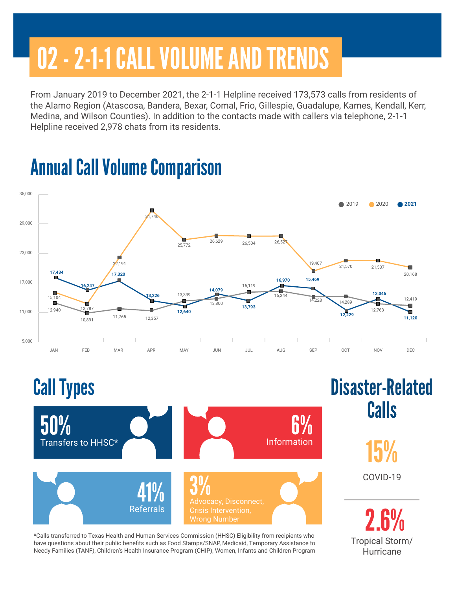# 02 - 2-1-1 CALL VOLUME AND TRENDS

From January 2019 to December 2021, the 2-1-1 Helpline received 173,573 calls from residents of the Alamo Region (Atascosa, Bandera, Bexar, Comal, Frio, Gillespie, Guadalupe, Karnes, Kendall, Kerr, Medina, and Wilson Counties). In addition to the contacts made with callers via telephone, 2-1-1 Helpline received 2,978 chats from its residents.

Annual Call Volume Comparison





Tropical Storm/ **Hurricane** 

\*Calls transferred to Texas Health and Human Services Commission (HHSC) Eligibility from recipients who have questions about their public benefits such as Food Stamps/SNAP, Medicaid, Temporary Assistance to Needy Families (TANF), Children's Health Insurance Program (CHIP), Women, Infants and Children Program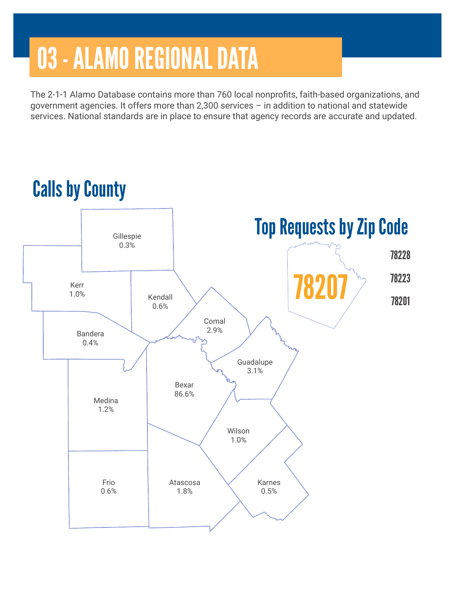## 03 - ALAMO REGIONAL DATA

The 2-1-1 Alamo Database contains more than 760 local nonprofits, faith-based organizations, and government agencies. It offers more than 2,300 services – in addition to national and statewide services. National standards are in place to ensure that agency records are accurate and updated.

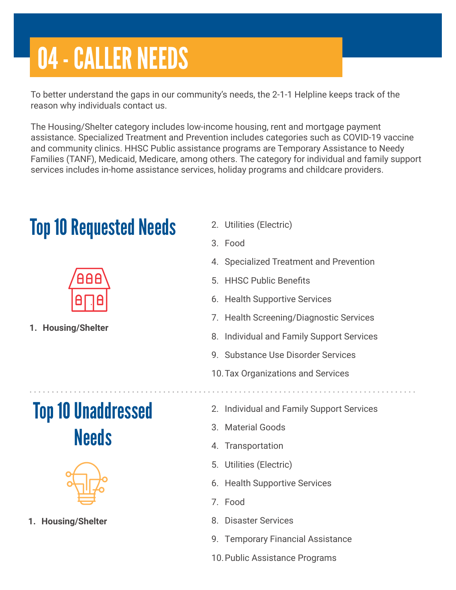## 04 - CALLER NEEDS

To better understand the gaps in our community's needs, the 2-1-1 Helpline keeps track of the reason why individuals contact us.

The Housing/Shelter category includes low-income housing, rent and mortgage payment assistance. Specialized Treatment and Prevention includes categories such as COVID-19 vaccine and community clinics. HHSC Public assistance programs are Temporary Assistance to Needy Families (TANF), Medicaid, Medicare, among others. The category for individual and family support services includes in-home assistance services, holiday programs and childcare providers.

#### Top 10 Requested Needs 2. Utilities (Electric)



**1. Housing/Shelter** 

#### Top 10 Unaddressed **Needs**



**1. Housing/Shelter** 

- 
- 3. Food
- 4. Specialized Treatment and Prevention
- 5. HHSC Public Benefits
- 6. Health Supportive Services
- 7. Health Screening/Diagnostic Services
- 8. Individual and Family Support Services
- 9. Substance Use Disorder Services
- 10.Tax Organizations and Services
- 2. Individual and Family Support Services
- 3. Material Goods
- 4. Transportation
- 5. Utilities (Electric)
- 6. Health Supportive Services
- 7. Food
- 8. Disaster Services
- 9. Temporary Financial Assistance
- 10.Public Assistance Programs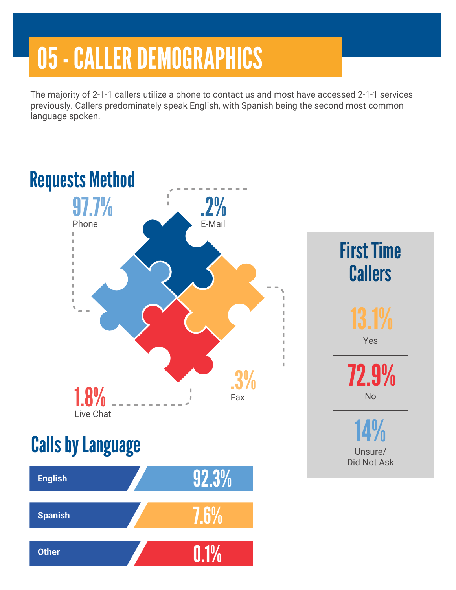## 05 - CALLER DEMOGRAPHICS

The majority of 2-1-1 callers utilize a phone to contact us and most have accessed 2-1-1 services previously. Callers predominately speak English, with Spanish being the second most common language spoken.

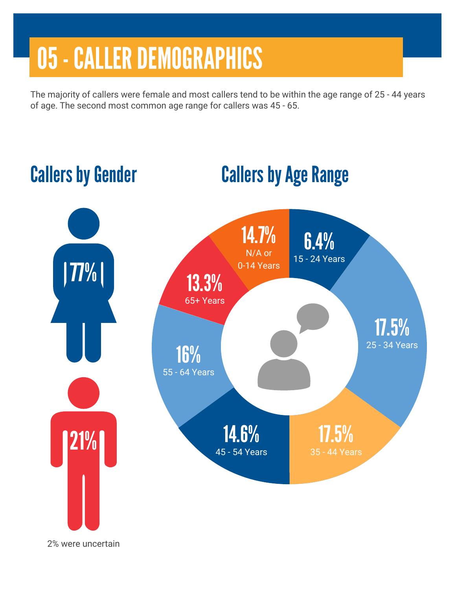### 05 - CALLER DEMOGRAPHICS

The majority of callers were female and most callers tend to be within the age range of 25 - 44 years of age. The second most common age range for callers was 45 - 65.



2% were uncertain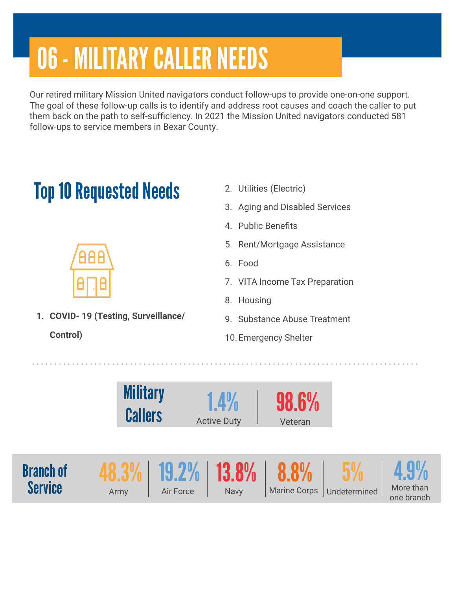# 06 - MILITARY CALLER NEEDS

Our retired military Mission United navigators conduct follow-ups to provide one-on-one support. The goal of these follow-up calls is to identify and address root causes and coach the caller to put them back on the path to self-sufficiency. In 2021 the Mission United navigators conducted 581 follow-ups to service members in Bexar County.

### **Top 10 Requested Needs** 2. Utilities (Electric)

- 
- 3. Aging and Disabled Services
- 4. Public Benefits
- 5. Rent/Mortgage Assistance
- 6. Food
- 7. VITA Income Tax Preparation
- 8. Housing
- 9. Substance Abuse Treatment
- 10.Emergency Shelter







**1. COVID- 19 (Testing, Surveillance/**

**Control)**